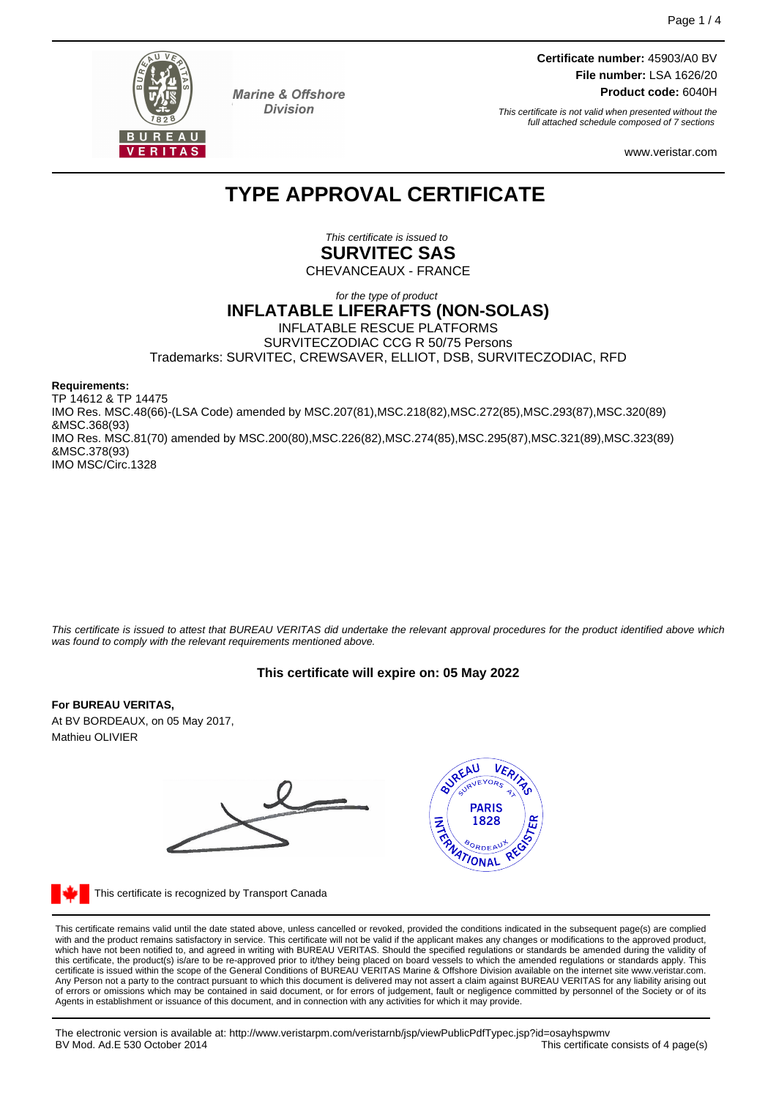

**Marine & Offshore Division** 

**Certificate number:** 45903/A0 BV **File number:** LSA 1626/20 **Product code:** 6040H

This certificate is not valid when presented without the full attached schedule composed of 7 sections

www.veristar.com

## **TYPE APPROVAL CERTIFICATE**

This certificate is issued to **SURVITEC SAS**

CHEVANCEAUX - FRANCE

### for the type of product **INFLATABLE LIFERAFTS (NON-SOLAS)** INFLATABLE RESCUE PLATFORMS SURVITECZODIAC CCG R 50/75 Persons Trademarks: SURVITEC, CREWSAVER, ELLIOT, DSB, SURVITECZODIAC, RFD

**Requirements:**

TP 14612 & TP 14475 IMO Res. MSC.48(66)-(LSA Code) amended by MSC.207(81),MSC.218(82),MSC.272(85),MSC.293(87),MSC.320(89) &MSC.368(93) IMO Res. MSC.81(70) amended by MSC.200(80),MSC.226(82),MSC.274(85),MSC.295(87),MSC.321(89),MSC.323(89) &MSC.378(93) IMO MSC/Circ.1328

This certificate is issued to attest that BUREAU VERITAS did undertake the relevant approval procedures for the product identified above which was found to comply with the relevant requirements mentioned above.

## **This certificate will expire on: 05 May 2022**

#### **For BUREAU VERITAS,**

At BV BORDEAUX, on 05 May 2017, Mathieu OLIVIER





This certificate is recognized by Transport Canada

This certificate remains valid until the date stated above, unless cancelled or revoked, provided the conditions indicated in the subsequent page(s) are complied with and the product remains satisfactory in service. This certificate will not be valid if the applicant makes any changes or modifications to the approved product, which have not been notified to, and agreed in writing with BUREAU VERITAS. Should the specified regulations or standards be amended during the validity of<br>this certificate, the product(s) is/are to be re-approved prior to Any Person not a party to the contract pursuant to which this document is delivered may not assert a claim against BUREAU VERITAS for any liability arising out of errors or omissions which may be contained in said document, or for errors of judgement, fault or negligence committed by personnel of the Society or of its Agents in establishment or issuance of this document, and in connection with any activities for which it may provide.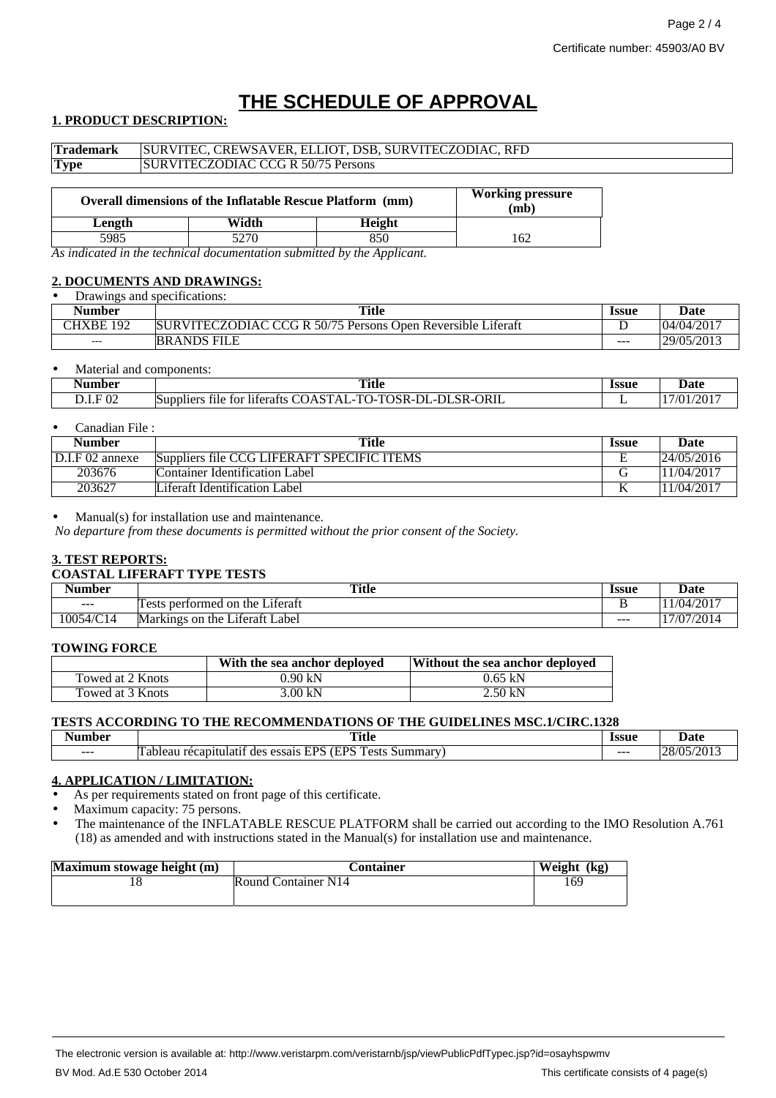# **THE SCHEDULE OF APPROVAL**

## **1. PRODUCT DESCRIPTION:**

| <b>Trademark</b> | SURVITEC, CREWSAVER, ELLIOT, DSB, SURVITECZODIAC, RFD            |        |                                 |  |
|------------------|------------------------------------------------------------------|--------|---------------------------------|--|
| <b>Type</b>      | <b>SURVITECZODIAC CCG R 50/75 Persons</b>                        |        |                                 |  |
|                  | <b>Overall dimensions of the Inflatable Rescue Platform (mm)</b> |        | <b>Working pressure</b><br>(mb) |  |
| Length           | Width                                                            | Height |                                 |  |

5985 5270 850 162 *As indicated in the technical documentation submitted by the Applicant.*

#### **2. DOCUMENTS AND DRAWINGS: Drawings and specifications:**

| Drawilles and specifications. |                                                             |              |            |  |
|-------------------------------|-------------------------------------------------------------|--------------|------------|--|
| Number                        | <b>Title</b>                                                | <b>Issue</b> | Date       |  |
| CHXBE<br>192                  | SURVITECZODIAC CCG R 50/75 Persons Open Reversible Liferaft |              | 04/04/2017 |  |
| $- - -$                       | <b>BRANDS FILE</b>                                          | $- - -$      | 29/05/2013 |  |

#### Material and components:

| Number               | <b>Title</b>                                                                                                                                                   | <b>Issue</b> | Date        |
|----------------------|----------------------------------------------------------------------------------------------------------------------------------------------------------------|--------------|-------------|
|                      | $\sim$ $\sim$                                                                                                                                                  | .            | .           |
| F 02<br><b>D.L.L</b> | $\sim$<br>-DI<br>ORIL<br>.<br>$-$<br>$T^{\wedge}$<br>SR-C<br>m o<br>-1)1<br>- ISR-1-<br>'' )A<br>Suppliers<br>liferafts<br>tor<br>$\Delta$<br>tile<br>_ _<br>. | -            | $/20^\circ$ |

#### • Canadian File :

| Number          | <b>Title</b>                               | <b>Issue</b> | Date       |
|-----------------|--------------------------------------------|--------------|------------|
| D.I.F 02 annexe | Suppliers file CCG LIFERAFT SPECIFIC ITEMS | ∸            | 24/05/2016 |
| 203676          | Container Identification Label             |              | 1/04/2017  |
| 203627          | Liferaft Identification Label              |              | 1/04/2017  |

#### $Manual(s)$  for installation use and maintenance.

*No departure from these documents is permitted without the prior consent of the Society.*

#### **3. TEST REPORTS:**

#### **COASTAL LIFERAFT TYPE TESTS**

| . .<br>Number | <b>Title</b>                                              | Issue | Date                        |
|---------------|-----------------------------------------------------------|-------|-----------------------------|
| $- - -$       | $\cdot$ $\sim$<br>performed on<br>the<br>∟iteraft<br>ests |       | 1/04/2017                   |
| 10054/C14     | .<br>∟abel<br>Markings<br>Literatt<br>the<br>on           | ---   | 7/07/2014<br>$\overline{ }$ |

#### **TOWING FORCE**

|                  | With the sea anchor deployed | Without the sea anchor deployed |
|------------------|------------------------------|---------------------------------|
| Towed at 2 Knots | 0.90 kN                      | $0.65 \; kN$                    |
| Towed at 3 Knots | 3.00 kN                      | 2.50 kN                         |

#### **TESTS ACCORDING TO THE RECOMMENDATIONS OF THE GUIDELINES MSC.1/CIRC.1328**

| umber   | <b>Title</b>                                                                                                                                      | Issue   | Jate                                     |
|---------|---------------------------------------------------------------------------------------------------------------------------------------------------|---------|------------------------------------------|
| $- - -$ | <b>CONT</b><br>$\Gamma$ $\Gamma$ $\Gamma$ $\Gamma$<br><b>CDC</b><br>ests<br>Summary<br>atıt<br>des<br>essais<br>bleal<br>$\epsilon$<br>ятн<br>. Г | $- - -$ | '201<br>ാധ<br>$\sqrt{2}$<br>$\mathbf{z}$ |

### **4. APPLICATION / LIMITATION:**

As per requirements stated on front page of this certificate.

Maximum capacity: 75 persons.

• The maintenance of the INFLATABLE RESCUE PLATFORM shall be carried out according to the IMO Resolution A.761 (18) as amended and with instructions stated in the Manual(s) for installation use and maintenance.

| Maximum stowage height (m) | Container           | Weight (kg) |
|----------------------------|---------------------|-------------|
|                            | Round Container N14 | 169         |
|                            |                     |             |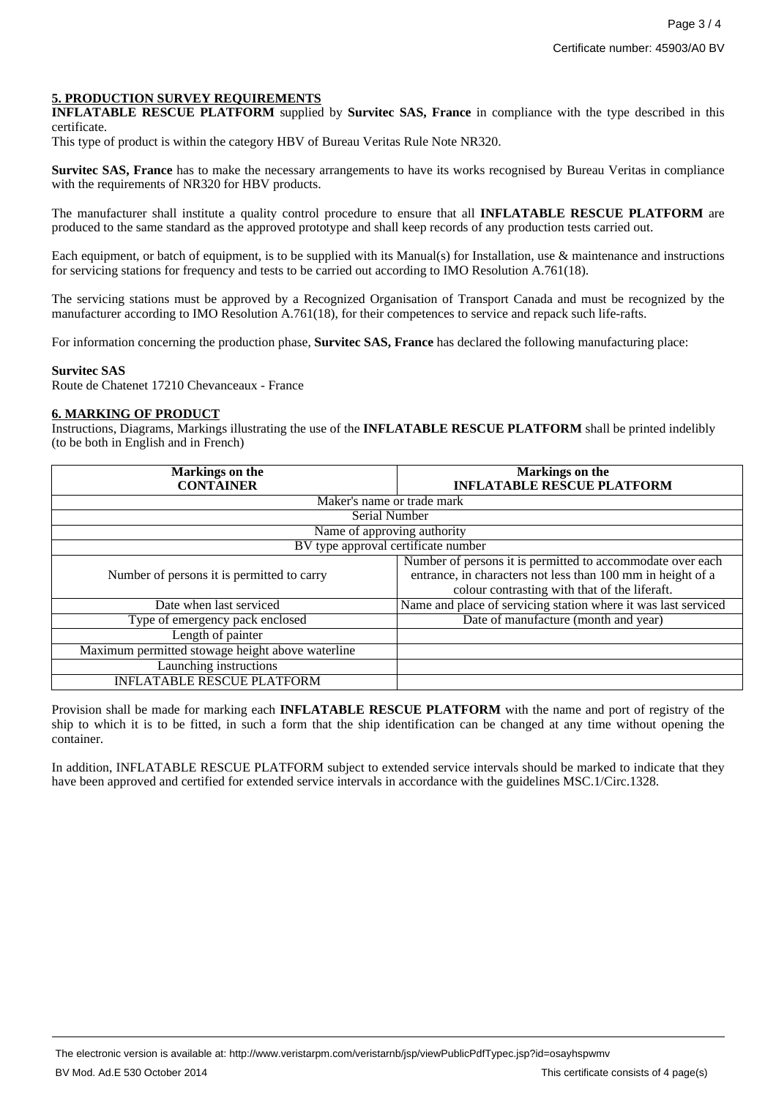### **5. PRODUCTION SURVEY REQUIREMENTS**

**INFLATABLE RESCUE PLATFORM** supplied by **Survitec SAS, France** in compliance with the type described in this certificate.

This type of product is within the category HBV of Bureau Veritas Rule Note NR320.

**Survitec SAS, France** has to make the necessary arrangements to have its works recognised by Bureau Veritas in compliance with the requirements of NR320 for HBV products.

The manufacturer shall institute a quality control procedure to ensure that all **INFLATABLE RESCUE PLATFORM** are produced to the same standard as the approved prototype and shall keep records of any production tests carried out.

Each equipment, or batch of equipment, is to be supplied with its Manual(s) for Installation, use & maintenance and instructions for servicing stations for frequency and tests to be carried out according to IMO Resolution A.761(18).

The servicing stations must be approved by a Recognized Organisation of Transport Canada and must be recognized by the manufacturer according to IMO Resolution A.761(18), for their competences to service and repack such life-rafts.

For information concerning the production phase, **Survitec SAS, France** has declared the following manufacturing place:

#### **Survitec SAS**

Route de Chatenet 17210 Chevanceaux - France

#### **6. MARKING OF PRODUCT**

Instructions, Diagrams, Markings illustrating the use of the **INFLATABLE RESCUE PLATFORM** shall be printed indelibly (to be both in English and in French)

| <b>Markings</b> on the                           | Markings on the                                                |
|--------------------------------------------------|----------------------------------------------------------------|
| <b>CONTAINER</b>                                 | <b>INFLATABLE RESCUE PLATFORM</b>                              |
| Maker's name or trade mark                       |                                                                |
| Serial Number                                    |                                                                |
| Name of approving authority                      |                                                                |
| BV type approval certificate number              |                                                                |
|                                                  | Number of persons it is permitted to accommodate over each     |
| Number of persons it is permitted to carry       | entrance, in characters not less than 100 mm in height of a    |
|                                                  | colour contrasting with that of the liferaft.                  |
| Date when last serviced                          | Name and place of servicing station where it was last serviced |
| Type of emergency pack enclosed                  | Date of manufacture (month and year)                           |
| Length of painter                                |                                                                |
| Maximum permitted stowage height above waterline |                                                                |
| Launching instructions                           |                                                                |
| <b>INFLATABLE RESCUE PLATFORM</b>                |                                                                |

Provision shall be made for marking each **INFLATABLE RESCUE PLATFORM** with the name and port of registry of the ship to which it is to be fitted, in such a form that the ship identification can be changed at any time without opening the container.

In addition, INFLATABLE RESCUE PLATFORM subject to extended service intervals should be marked to indicate that they have been approved and certified for extended service intervals in accordance with the guidelines MSC.1/Circ.1328.